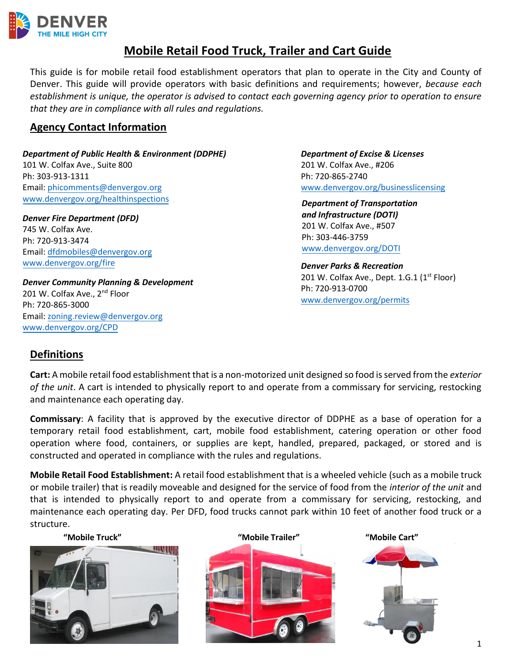

# **Mobile Retail Food Truck, Trailer and Cart Guide**

This guide is for mobile retail food establishment operators that plan to operate in the City and County of Denver. This guide will provide operators with basic definitions and requirements; however, *because each establishment is unique, the operator is advised to contact each governing agency prior to operation to ensure that they are in compliance with all rules and regulations.* 

# **Agency Contact Information**

*Department of Public Health & Environment (DDPHE)* 101 W. Colfax Ave., Suite 800 Ph: 303-913-1311 Email: [phicomments@denvergov.org](mailto:phicomments@denvergov.or)  ww[w.denvergov.org/healthinspections](http://www.denvergov.org/healthinspections)

*Denver Fire Department (DFD)*  745 W. Colfax Ave. Ph: 720-913-3474 Email: dfd[mobiles@denvergov.org](mailto:dfdmobiles@denvergov.org) ww[w.denvergov.org/fire](http://www.denvergov.org/fire)

*Denver Community Planning & Development*  201 W. Colfax Ave., 2<sup>nd</sup> Floor Ph: 720-865-3000 Email: zoning.[review@denvergov.org](mailto:zoning.review@denvergov.org) ww[w.denvergov.org/](http://www.denvergov.org/CPD)CPD

*Department of Excise & Licenses* 201 W. Colfax Ave., #206 Ph: 720-865-2740 [www.denvergov.org/businesslicensing](http://www.denvergov.org/businesslicensing)

*Department of Transportation and Infrastructure (DOTI)* 201 W. Colfax Ave., #507 Ph: 303-446-3759 [www.denvergov.org/](http://www.denvergov.org/publicworks)DOTI

*Denver Parks & Recreation* 201 W. Colfax Ave., Dept. 1.G.1 (1<sup>st</sup> Floor) Ph: 720-913-0700 [www.denvergov.org/permits](http://www.denvergov.org/permits)

# **Definitions**

**Cart:** A mobile retail food establishment that is a non-motorized unit designed so food is served from the *exterior of the unit*. A cart is intended to physically report to and operate from a commissary for servicing, restocking and maintenance each operating day.

**Commissary**: A facility that is approved by the executive director of DDPHE as a base of operation for a temporary retail food establishment, cart, mobile food establishment, catering operation or other food operation where food, containers, or supplies are kept, handled, prepared, packaged, or stored and is constructed and operated in compliance with the rules and regulations.

**Mobile Retail Food Establishment:** A retail food establishment that is a wheeled vehicle (such as a mobile truck or mobile trailer) that is readily moveable and designed for the service of food from the *interior of the unit* and that is intended to physically report to and operate from a commissary for servicing, restocking, and maintenance each operating day. Per DFD, food trucks cannot park within 10 feet of another food truck or a structure.





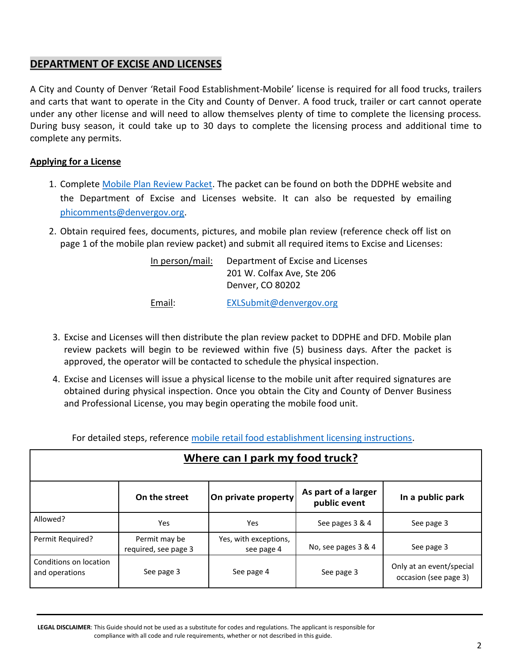# **DEPARTMENT OF EXCISE AND LICENSES**

A City and County of Denver 'Retail Food Establishment-Mobile' license is required for all food trucks, trailers and carts that want to operate in the City and County of Denver. A food truck, trailer or cart cannot operate under any other license and will need to allow themselves plenty of time to complete the licensing process. During busy season, it could take up to 30 days to complete the licensing process and additional time to complete any permits.

## **Applying for a License**

- 1. Complete [Mobile Plan Review Packet.](https://www.denvergov.org/content/dam/denvergov/Portals/771/documents/PHI/Food/Mobile%20Plan%20Review_2018.pdf) The packet can be found on both the DDPHE website and the Department of Excise and Licenses website. It can also be requested by emailing [phicomments@denvergov.org.](mailto:phicomments@denvergov.org)
- 2. Obtain required fees, documents, pictures, and mobile plan review (reference check off list on page 1 of the mobile plan review packet) and submit all required items to Excise and Licenses:

| In person/mail: | Department of Excise and Licenses |  |  |
|-----------------|-----------------------------------|--|--|
|                 | 201 W. Colfax Ave, Ste 206        |  |  |
|                 | Denver, CO 80202                  |  |  |
| Email:          | EXLSubmit@denvergov.org           |  |  |

- 3. Excise and Licenses will then distribute the plan review packet to DDPHE and DFD. Mobile plan review packets will begin to be reviewed within five (5) business days. After the packet is approved, the operator will be contacted to schedule the physical inspection.
- 4. Excise and Licenses will issue a physical license to the mobile unit after required signatures are obtained during physical inspection. Once you obtain the City and County of Denver Business and Professional License, you may begin operating the mobile food unit.

For detailed steps, reference [mobile retail food establishment licensing instructions.](https://www.denvergov.org/content/dam/denvergov/Portals/771/documents/PHI/Food/Mobile%20Licensing%20Instructions_2018.pdf)

| Where can I park my food truck?          |                                       |                                     |                                     |                                                   |  |
|------------------------------------------|---------------------------------------|-------------------------------------|-------------------------------------|---------------------------------------------------|--|
|                                          | On the street                         | On private property                 | As part of a larger<br>public event | In a public park                                  |  |
| Allowed?                                 | Yes                                   | Yes                                 | See pages 3 & 4                     | See page 3                                        |  |
| Permit Required?                         | Permit may be<br>required, see page 3 | Yes, with exceptions,<br>see page 4 | No, see pages 3 & 4                 | See page 3                                        |  |
| Conditions on location<br>and operations | See page 3                            | See page 4                          | See page 3                          | Only at an event/special<br>occasion (see page 3) |  |

**LEGAL DISCLAIMER**: This Guide should not be used as a substitute for codes and regulations. The applicant is responsible for compliance with all code and rule requirements, whether or not described in this guide.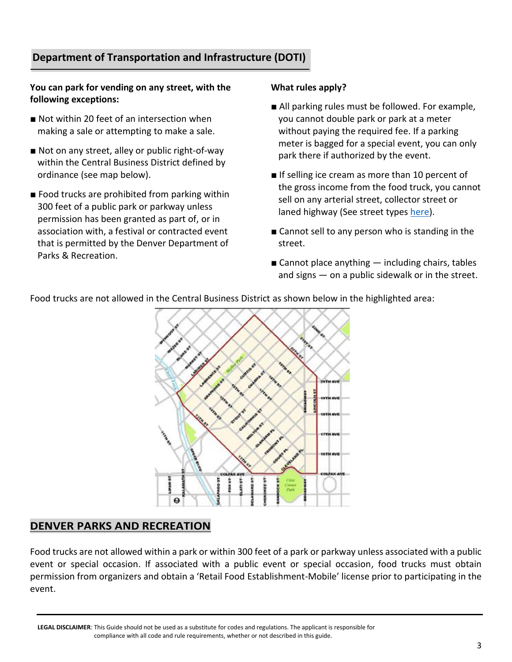# **Department of Transportation and Infrastructure (DOTI)**

## **You can park for vending on any street, with the following exceptions:**

- Not within 20 feet of an intersection when making a sale or attempting to make a sale.
- Not on any street, alley or public right-of-way within the Central Business District defined by ordinance (see map below).
- Food trucks are prohibited from parking within 300 feet of a public park or parkway unless permission has been granted as part of, or in association with, a festival or contracted event that is permitted by the Denver Department of Parks & Recreation.

### **What rules apply?**

- All parking rules must be followed. For example, you cannot double park or park at a meter without paying the required fee. If a parking meter is bagged for a special event, you can only park there if authorized by the event.
- If selling ice cream as more than 10 percent of the gross income from the food truck, you cannot sell on any arterial street, collector street or laned highway (See street types [here\)](http://www.denvergov.org/content/dam/denvergov/Portals/706/documents/street-classification-map-2017.pdf).
- Cannot sell to any person who is standing in the street.
- Cannot place anything  $-$  including chairs, tables and signs — on a public sidewalk or in the street.

Food trucks are not allowed in the Central Business District as shown below in the highlighted area:



## **DENVER PARKS AND RECREATION**

Food trucks are not allowed within a park or within 300 feet of a park or parkway unless associated with a public event or special occasion. If associated with a public event or special occasion, food trucks must obtain permission from organizers and obtain a 'Retail Food Establishment-Mobile' license prior to participating in the event.

**LEGAL DISCLAIMER**: This Guide should not be used as a substitute for codes and regulations. The applicant is responsible for compliance with all code and rule requirements, whether or not described in this guide.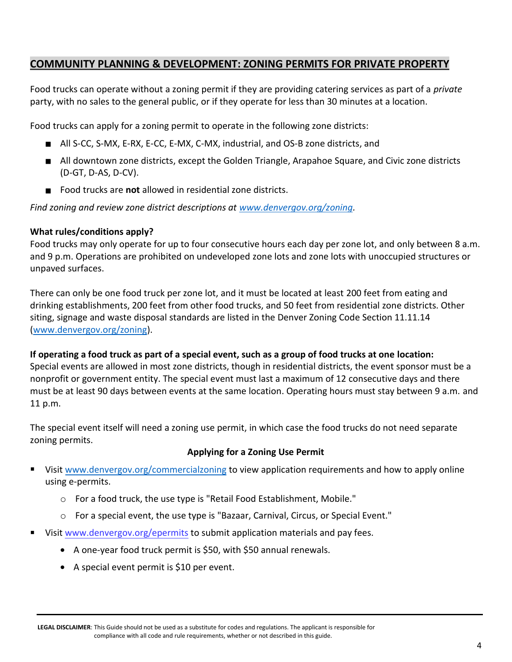# **COMMUNITY PLANNING & DEVELOPMENT: ZONING PERMITS FOR PRIVATE PROPERTY**

Food trucks can operate without a zoning permit if they are providing catering services as part of a *private* party, with no sales to the general public, or if they operate for less than 30 minutes at a location.

Food trucks can apply for a zoning permit to operate in the following zone districts:

- All S-CC, S-MX, E-RX, E-CC, E-MX, C-MX, industrial, and OS-B zone districts, and
- All downtown zone districts, except the Golden Triangle, Arapahoe Square, and Civic zone districts (D-GT, D-AS, D-CV).
- Food trucks are **not** allowed in residential zone districts.

*Find zoning and review zone district descriptions at [www.denvergov.org/zoning.](http://www.denvergov.org/zoning)*

## **What rules/conditions apply?**

Food trucks may only operate for up to four consecutive hours each day per zone lot, and only between 8 a.m. and 9 p.m. Operations are prohibited on undeveloped zone lots and zone lots with unoccupied structures or unpaved surfaces.

There can only be one food truck per zone lot, and it must be located at least 200 feet from eating and drinking establishments, 200 feet from other food trucks, and 50 feet from residential zone districts. Other siting, signage and waste disposal standards are listed in the Denver Zoning Code Section 11.11.14 [\(www.denvergov.org/zoning\)](http://www.denvergov.org/zoning).

**If operating a food truck as part of a special event, such as a group of food trucks at one location:** Special events are allowed in most zone districts, though in residential districts, the event sponsor must be a nonprofit or government entity. The special event must last a maximum of 12 consecutive days and there must be at least 90 days between events at the same location. Operating hours must stay between 9 a.m. and 11 p.m.

The special event itself will need a zoning use permit, in which case the food trucks do not need separate zoning permits.

## **Applying for a Zoning Use Permit**

- Visi[t www.denvergov.org/commercialzoning](http://www.denvergov.org/commercialzoning) to view application requirements and how to apply online using e-permits.
	- o For a food truck, the use type is "Retail Food Establishment, Mobile."
	- o For a special event, the use type is "Bazaar, Carnival, Circus, or Special Event."
- Visi[t www.denvergov.org/epermits](https://www.denvergov.org/Government/Agencies-Departments-Offices/Agencies-Departments-Offices-Directory/Community-Planning-and-Development/E-permits) to submit application materials and pay fees.
	- A one-year food truck permit is \$50, with \$50 annual renewals.
	- A special event permit is \$10 per event.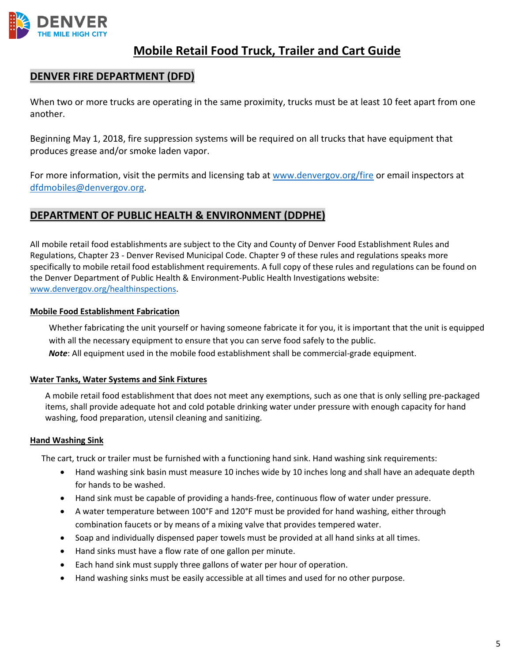

# **Mobile Retail Food Truck, Trailer and Cart Guide**

# **DENVER FIRE DEPARTMENT (DFD)**

When two or more trucks are operating in the same proximity, trucks must be at least 10 feet apart from one another.

Beginning May 1, 2018, fire suppression systems will be required on all trucks that have equipment that produces grease and/or smoke laden vapor.

For more information, visit the permits and licensing tab at [www.denvergov.org/fire](http://www.denvergov.org/fire) or email inspectors at [dfdmobiles@denvergov.org.](mailto:dfdmobiles@denvergov.org)

# **DEPARTMENT OF PUBLIC HEALTH & ENVIRONMENT (DDPHE)**

All mobile retail food establishments are subject to the City and County of Denver Food Establishment Rules and Regulations, Chapter 23 - Denver Revised Municipal Code. Chapter 9 of these rules and regulations speaks more specifically to mobile retail food establishment requirements. A full copy of these rules and regulations can be found on the Denver Department of Public Health & Environment-Public Health Investigations website: [www.denvergov.org/healthinspections.](http://www.denvergov.org/healthinspections)

#### **Mobile Food Establishment Fabrication**

Whether fabricating the unit yourself or having someone fabricate it for you, it is important that the unit is equipped with all the necessary equipment to ensure that you can serve food safely to the public. *Note*: All equipment used in the mobile food establishment shall be commercial-grade equipment.

# **Water Tanks, Water Systems and Sink Fixtures**

A mobile retail food establishment that does not meet any exemptions, such as one that is only selling pre-packaged items, shall provide adequate hot and cold potable drinking water under pressure with enough capacity for hand washing, food preparation, utensil cleaning and sanitizing.

#### **Hand Washing Sink**

The cart, truck or trailer must be furnished with a functioning hand sink. Hand washing sink requirements:

- Hand washing sink basin must measure 10 inches wide by 10 inches long and shall have an adequate depth for hands to be washed.
- Hand sink must be capable of providing a hands-free, continuous flow of water under pressure.
- A water temperature between 100°F and 120°F must be provided for hand washing, either through combination faucets or by means of a mixing valve that provides tempered water.
- Soap and individually dispensed paper towels must be provided at all hand sinks at all times.
- Hand sinks must have a flow rate of one gallon per minute.
- Each hand sink must supply three gallons of water per hour of operation.
- Hand washing sinks must be easily accessible at all times and used for no other purpose.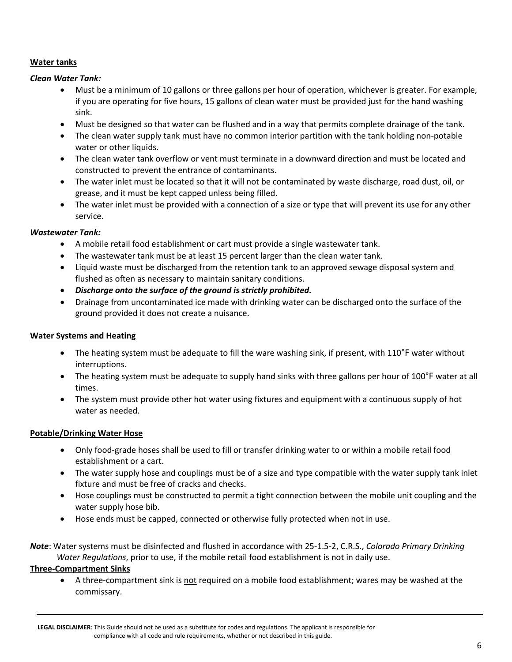## **Water tanks**

#### *Clean Water Tank:*

- Must be a minimum of 10 gallons or three gallons per hour of operation, whichever is greater. For example, if you are operating for five hours, 15 gallons of clean water must be provided just for the hand washing sink.
- Must be designed so that water can be flushed and in a way that permits complete drainage of the tank.
- The clean water supply tank must have no common interior partition with the tank holding non-potable water or other liquids.
- The clean water tank overflow or vent must terminate in a downward direction and must be located and constructed to prevent the entrance of contaminants.
- The water inlet must be located so that it will not be contaminated by waste discharge, road dust, oil, or grease, and it must be kept capped unless being filled.
- The water inlet must be provided with a connection of a size or type that will prevent its use for any other service.

#### *Wastewater Tank:*

- A mobile retail food establishment or cart must provide a single wastewater tank.
- The wastewater tank must be at least 15 percent larger than the clean water tank.
- Liquid waste must be discharged from the retention tank to an approved sewage disposal system and flushed as often as necessary to maintain sanitary conditions.
- *Discharge onto the surface of the ground is strictly prohibited.*
- Drainage from uncontaminated ice made with drinking water can be discharged onto the surface of the ground provided it does not create a nuisance.

## **Water Systems and Heating**

- The heating system must be adequate to fill the ware washing sink, if present, with 110°F water without interruptions.
- The heating system must be adequate to supply hand sinks with three gallons per hour of 100°F water at all times.
- The system must provide other hot water using fixtures and equipment with a continuous supply of hot water as needed.

## **Potable/Drinking Water Hose**

- Only food-grade hoses shall be used to fill or transfer drinking water to or within a mobile retail food establishment or a cart.
- The water supply hose and couplings must be of a size and type compatible with the water supply tank inlet fixture and must be free of cracks and checks.
- Hose couplings must be constructed to permit a tight connection between the mobile unit coupling and the water supply hose bib.
- Hose ends must be capped, connected or otherwise fully protected when not in use.
- *Note*: Water systems must be disinfected and flushed in accordance with 25-1.5-2, C.R.S., *Colorado Primary Drinking Water Regulations*, prior to use, if the mobile retail food establishment is not in daily use.

## **Three-Compartment Sinks**

• A three-compartment sink is not required on a mobile food establishment; wares may be washed at the commissary.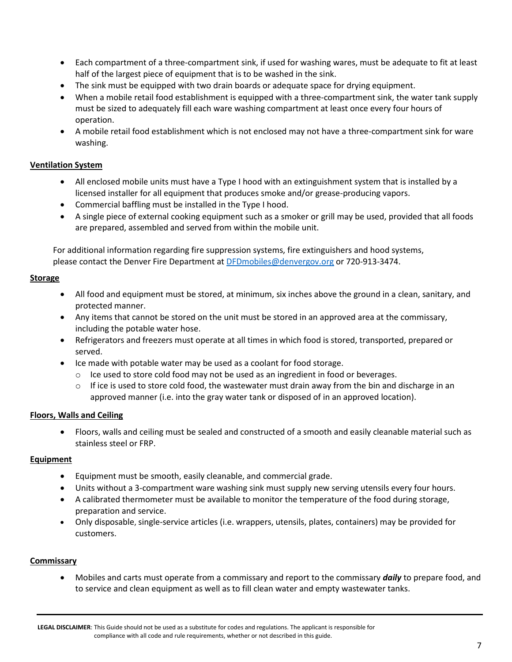- Each compartment of a three-compartment sink, if used for washing wares, must be adequate to fit at least half of the largest piece of equipment that is to be washed in the sink.
- The sink must be equipped with two drain boards or adequate space for drying equipment.
- When a mobile retail food establishment is equipped with a three-compartment sink, the water tank supply must be sized to adequately fill each ware washing compartment at least once every four hours of operation.
- A mobile retail food establishment which is not enclosed may not have a three-compartment sink for ware washing.

#### **Ventilation System**

- All enclosed mobile units must have a Type I hood with an extinguishment system that is installed by a licensed installer for all equipment that produces smoke and/or grease-producing vapors.
- Commercial baffling must be installed in the Type I hood.
- A single piece of external cooking equipment such as a smoker or grill may be used, provided that all foods are prepared, assembled and served from within the mobile unit.

For additional information regarding fire suppression systems, fire extinguishers and hood systems, please contact the Denver Fire Department a[t DFDmobiles@denvergov.org](mailto:DFDmobiles@denvergov.org) or 720-913-3474.

#### **Storage**

- All food and equipment must be stored, at minimum, six inches above the ground in a clean, sanitary, and protected manner.
- Any items that cannot be stored on the unit must be stored in an approved area at the commissary, including the potable water hose.
- Refrigerators and freezers must operate at all times in which food is stored, transported, prepared or served.
- Ice made with potable water may be used as a coolant for food storage.
	- $\circ$  Ice used to store cold food may not be used as an ingredient in food or beverages.
	- $\circ$  If ice is used to store cold food, the wastewater must drain away from the bin and discharge in an approved manner (i.e. into the gray water tank or disposed of in an approved location).

#### **Floors, Walls and Ceiling**

• Floors, walls and ceiling must be sealed and constructed of a smooth and easily cleanable material such as stainless steel or FRP.

#### **Equipment**

- Equipment must be smooth, easily cleanable, and commercial grade.
- Units without a 3-compartment ware washing sink must supply new serving utensils every four hours.
- A calibrated thermometer must be available to monitor the temperature of the food during storage, preparation and service.
- Only disposable, single-service articles (i.e. wrappers, utensils, plates, containers) may be provided for customers.

#### **Commissary**

• Mobiles and carts must operate from a commissary and report to the commissary *daily* to prepare food, and to service and clean equipment as well as to fill clean water and empty wastewater tanks.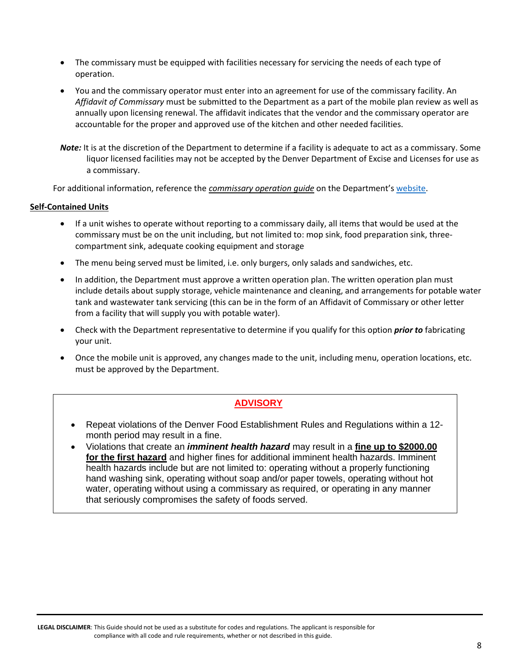- The commissary must be equipped with facilities necessary for servicing the needs of each type of operation.
- You and the commissary operator must enter into an agreement for use of the commissary facility. An *Affidavit of Commissary* must be submitted to the Department as a part of the mobile plan review as well as annually upon licensing renewal. The affidavit indicates that the vendor and the commissary operator are accountable for the proper and approved use of the kitchen and other needed facilities.
- *Note:* It is at the discretion of the Department to determine if a facility is adequate to act as a commissary. Some liquor licensed facilities may not be accepted by the Denver Department of Excise and Licenses for use as a commissary.

For additional information, reference the *commissary operation guide* on the Department's [website.](https://www.denvergov.org/content/denvergov/en/environmental-health/public-health-inspections/food-safety-section.html)

#### **Self-Contained Units**

- If a unit wishes to operate without reporting to a commissary daily, all items that would be used at the commissary must be on the unit including, but not limited to: mop sink, food preparation sink, threecompartment sink, adequate cooking equipment and storage
- The menu being served must be limited, i.e. only burgers, only salads and sandwiches, etc.
- In addition, the Department must approve a written operation plan. The written operation plan must include details about supply storage, vehicle maintenance and cleaning, and arrangements for potable water tank and wastewater tank servicing (this can be in the form of an Affidavit of Commissary or other letter from a facility that will supply you with potable water).
- Check with the Department representative to determine if you qualify for this option *prior to* fabricating your unit.
- Once the mobile unit is approved, any changes made to the unit, including menu, operation locations, etc. must be approved by the Department.

## **ADVISORY**

- Repeat violations of the Denver Food Establishment Rules and Regulations within a 12 month period may result in a fine.
- Violations that create an *imminent health hazard* may result in a **fine up to \$2000.00 for the first hazard** and higher fines for additional imminent health hazards. Imminent health hazards include but are not limited to: operating without a properly functioning hand washing sink, operating without soap and/or paper towels, operating without hot water, operating without using a commissary as required, or operating in any manner that seriously compromises the safety of foods served.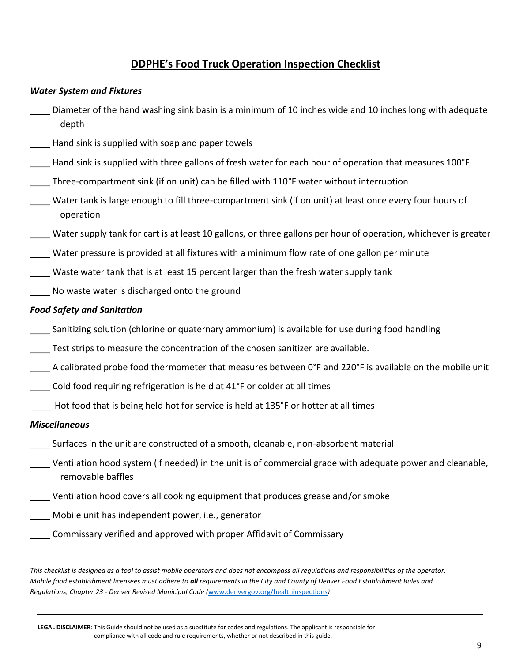# **DDPHE's Food Truck Operation Inspection Checklist**

#### *Water System and Fixtures*

- Diameter of the hand washing sink basin is a minimum of 10 inches wide and 10 inches long with adequate depth
- \_\_\_\_ Hand sink is supplied with soap and paper towels
- Hand sink is supplied with three gallons of fresh water for each hour of operation that measures 100°F
- Three-compartment sink (if on unit) can be filled with 110°F water without interruption
- Water tank is large enough to fill three-compartment sink (if on unit) at least once every four hours of operation
- Water supply tank for cart is at least 10 gallons, or three gallons per hour of operation, whichever is greater
- Water pressure is provided at all fixtures with a minimum flow rate of one gallon per minute
- Waste water tank that is at least 15 percent larger than the fresh water supply tank
- No waste water is discharged onto the ground

## *Food Safety and Sanitation*

- Sanitizing solution (chlorine or quaternary ammonium) is available for use during food handling
- Test strips to measure the concentration of the chosen sanitizer are available.
- A calibrated probe food thermometer that measures between 0°F and 220°F is available on the mobile unit
- Cold food requiring refrigeration is held at 41°F or colder at all times
- \_\_\_\_ Hot food that is being held hot for service is held at 135°F or hotter at all times

## *Miscellaneous*

- \_\_\_\_ Surfaces in the unit are constructed of a smooth, cleanable, non-absorbent material
- \_\_\_\_ Ventilation hood system (if needed) in the unit is of commercial grade with adequate power and cleanable, removable baffles
- Ventilation hood covers all cooking equipment that produces grease and/or smoke
- Mobile unit has independent power, i.e., generator
	- \_\_\_\_ Commissary verified and approved with proper Affidavit of Commissary

*This checklist is designed as a tool to assist mobile operators and does not encompass all regulations and responsibilities of the operator. Mobile food establishment licensees must adhere to all requirements in the City and County of Denver Food Establishment Rules and Regulations, Chapter 23 - Denver Revised Municipal Code (*[www.denvergov.org/healthinspections](http://www.denvergov.org/healthinspections)*)*